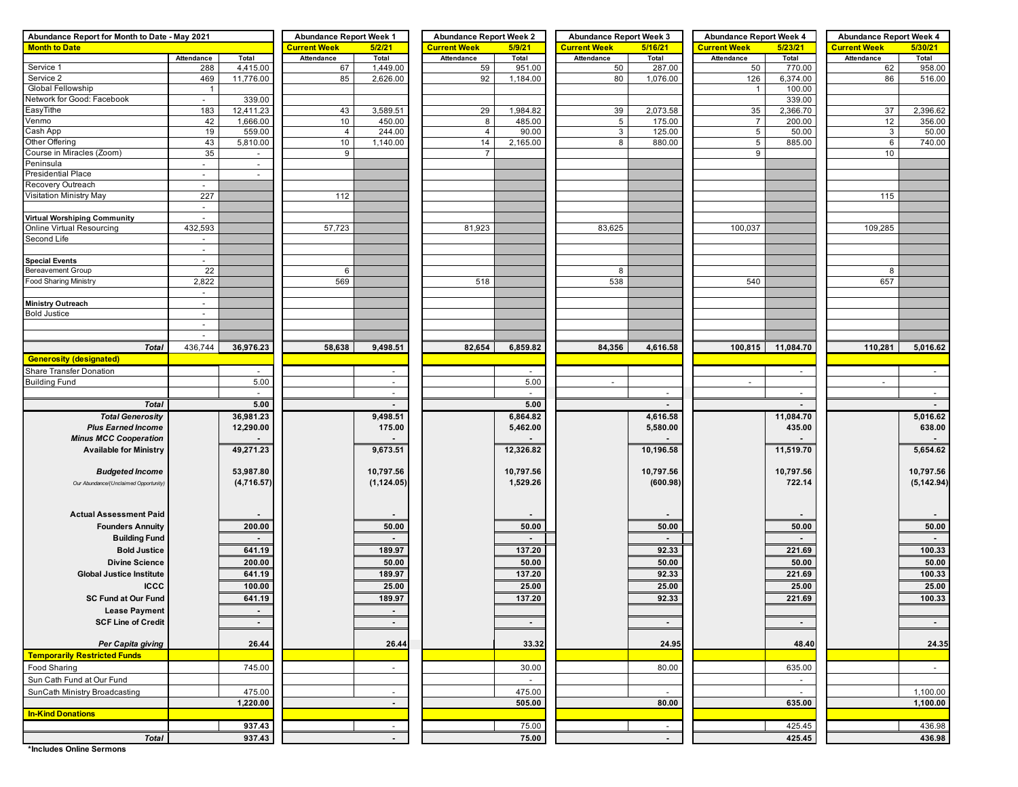| Abundance Report for Month to Date - May 2021 | <b>Abundance Report Week 1</b>     |                  | <b>Abundance Report Week 2</b> |                          | <b>Abundance Report Week 3</b> |                | <b>Abundance Report Week 4</b> |           | <b>Abundance Report Week 4</b> |           |                     |                      |
|-----------------------------------------------|------------------------------------|------------------|--------------------------------|--------------------------|--------------------------------|----------------|--------------------------------|-----------|--------------------------------|-----------|---------------------|----------------------|
| <b>Month to Date</b>                          |                                    |                  | <b>Current Week</b>            | 5/2/21                   | <b>Current Week</b>            | 5/9/21         | <b>Current Week</b>            | 5/16/21   | <b>Current Week</b>            | 5/23/21   | <b>Current Week</b> | 5/30/21              |
|                                               | Attendance                         | Total            | Attendance                     | Total                    | Attendance                     | Total          | Attendance                     | Total     | Attendance                     | Total     | Attendance          | Total                |
| Service 1                                     | 288                                | 4,415.00         | 67                             | 1,449.00                 | 59                             | 951.00         | 50                             | 287.00    | 50                             | 770.00    | 62                  | 958.00               |
| Service 2                                     | 469                                | 11,776.00        | 85                             | 2,626.00                 | 92                             | 1,184.00       | 80                             | 1,076.00  | 126                            | 6,374.00  | 86                  | 516.00               |
| Global Fellowship                             | $\overline{1}$                     |                  |                                |                          |                                |                |                                |           | $\overline{1}$                 | 100.00    |                     |                      |
| Network for Good: Facebook                    | $\sim$                             | 339.00           |                                |                          |                                |                |                                |           |                                | 339.00    |                     |                      |
| EasyTithe                                     | 183                                | 12,411.23        | 43                             | 3,589.51                 | 29                             | 1,984.82       | 39                             | 2,073.58  | 35                             | 2,366.70  | 37                  | 2,396.62             |
| Venmo                                         | 42                                 | 1,666.00         | 10                             | 450.00                   | 8                              | 485.00         | $5\overline{)}$                | 175.00    | $\overline{7}$                 | 200.00    | 12                  | 356.00               |
| Cash App<br>Other Offering                    | 19                                 | 559.00           | $\overline{4}$                 | 244.00                   | $\overline{4}$                 | 90.00          | $\mathbf{3}$<br>8              | 125.00    | $5\phantom{.0}$                | 50.00     | 3                   | 50.00                |
| Course in Miracles (Zoom)                     | 43<br>35                           | 5,810.00         | 10<br>9                        | 1,140.00                 | 14<br>$\overline{7}$           | 2,165.00       |                                | 880.00    | $5\phantom{.0}$<br>9           | 885.00    | $\,6\,$<br>10       | 740.00               |
| Peninsula                                     |                                    | $\sim$<br>$\sim$ |                                |                          |                                |                |                                |           |                                |           |                     |                      |
| <b>Presidential Place</b>                     | $\sim$<br>$\overline{\phantom{a}}$ |                  |                                |                          |                                |                |                                |           |                                |           |                     |                      |
| Recovery Outreach                             | $\overline{a}$                     |                  |                                |                          |                                |                |                                |           |                                |           |                     |                      |
| Visitation Ministry May                       | 227                                |                  | 112                            |                          |                                |                |                                |           |                                |           | 115                 |                      |
|                                               | $\overline{\phantom{a}}$           |                  |                                |                          |                                |                |                                |           |                                |           |                     |                      |
| <b>Virtual Worshiping Community</b>           | $\blacksquare$                     |                  |                                |                          |                                |                |                                |           |                                |           |                     |                      |
| Online Virtual Resourcing                     | 432,593                            |                  | 57,723                         |                          | 81,923                         |                | 83,625                         |           | 100,037                        |           | 109,285             |                      |
| Second Life                                   | $\sim$                             |                  |                                |                          |                                |                |                                |           |                                |           |                     |                      |
|                                               | $\sim$                             |                  |                                |                          |                                |                |                                |           |                                |           |                     |                      |
| <b>Special Events</b>                         | $\overline{\phantom{a}}$           |                  |                                |                          |                                |                |                                |           |                                |           |                     |                      |
| Bereavement Group                             | 22                                 |                  | 6                              |                          |                                |                | 8                              |           |                                |           | 8                   |                      |
| Food Sharing Ministry                         | 2,822                              |                  | 569                            |                          | 518                            |                | 538                            |           | 540                            |           | 657                 |                      |
|                                               | $\sim$                             |                  |                                |                          |                                |                |                                |           |                                |           |                     |                      |
| <b>Ministry Outreach</b>                      | $\overline{\phantom{a}}$           |                  |                                |                          |                                |                |                                |           |                                |           |                     |                      |
| <b>Bold Justice</b>                           | $\overline{\phantom{a}}$           |                  |                                |                          |                                |                |                                |           |                                |           |                     |                      |
|                                               | $\overline{a}$                     |                  |                                |                          |                                |                |                                |           |                                |           |                     |                      |
|                                               | ÷.                                 |                  |                                |                          |                                |                |                                |           |                                |           |                     |                      |
| <b>Total</b>                                  | 436,744                            | 36,976.23        | 58,638                         | 9,498.51                 | 82,654                         | 6,859.82       | 84,356                         | 4,616.58  | 100,815                        | 11,084.70 | 110,281             | 5,016.62             |
| <b>Generosity (designated)</b>                |                                    |                  |                                |                          |                                |                |                                |           |                                |           |                     |                      |
| Share Transfer Donation                       |                                    |                  |                                |                          |                                |                |                                |           |                                |           |                     | $\sim$               |
| <b>Building Fund</b>                          |                                    | 5.00             |                                | $\sim$                   |                                | 5.00           | $\blacksquare$                 |           | $\overline{\phantom{a}}$       |           | $\blacksquare$      |                      |
|                                               |                                    | $\sim$           |                                | $\sim$                   |                                | $\sim$         |                                | $\sim$    |                                | $\sim$    |                     | $\sim$               |
| <b>Total</b>                                  |                                    | 5.00             |                                |                          |                                | 5.00           |                                |           |                                |           |                     |                      |
| <b>Total Generosity</b>                       |                                    | 36,981.23        |                                | 9,498.51                 |                                | 6,864.82       |                                | 4,616.58  |                                | 11,084.70 |                     | 5,016.62             |
| <b>Plus Earned Income</b>                     |                                    | 12,290.00        |                                | 175.00                   |                                | 5,462.00       |                                | 5,580.00  |                                | 435.00    |                     | 638.00               |
| <b>Minus MCC Cooperation</b>                  |                                    |                  |                                | $\blacksquare$           |                                |                |                                |           |                                |           |                     | $\sim$               |
| <b>Available for Ministry</b>                 |                                    | 49,271.23        |                                | 9,673.51                 |                                | 12,326.82      |                                | 10,196.58 |                                | 11,519.70 |                     | 5,654.62             |
|                                               |                                    |                  |                                |                          |                                |                |                                |           |                                |           |                     |                      |
| <b>Budgeted Income</b>                        |                                    | 53,987.80        |                                | 10,797.56                |                                | 10,797.56      |                                | 10,797.56 |                                | 10,797.56 |                     | 10,797.56            |
| Our Abundance/(Unclaimed Opportunity)         |                                    | (4,716.57)       |                                | (1, 124.05)              |                                | 1,529.26       |                                | (600.98)  |                                | 722.14    |                     | (5, 142.94)          |
|                                               |                                    |                  |                                |                          |                                |                |                                |           |                                |           |                     |                      |
|                                               |                                    |                  |                                |                          |                                |                |                                |           |                                |           |                     |                      |
| <b>Actual Assessment Paid</b>                 |                                    |                  |                                |                          |                                |                |                                |           |                                |           |                     |                      |
| <b>Founders Annuity</b>                       |                                    | 200.00           |                                | 50.00                    |                                | 50.00          |                                | 50.00     |                                | 50.00     |                     | 50.00                |
| <b>Building Fund</b>                          |                                    | $\sim$           |                                | $\blacksquare$           |                                | $\blacksquare$ |                                | $\sim$    |                                | $\sim$    |                     | $\sim$               |
| <b>Bold Justice</b>                           |                                    | 641.19           |                                | 189.97                   |                                | 137.20         |                                | 92.33     |                                | 221.69    |                     | 100.33               |
| <b>Divine Science</b>                         |                                    | 200.00           |                                | 50.00                    |                                | 50.00          |                                | 50.00     |                                | 50.00     |                     | 50.00                |
| <b>Global Justice Institute</b>               |                                    | 641.19           |                                | 189.97                   |                                | 137.20         |                                | 92.33     |                                | 221.69    |                     | 100.33               |
| <b>ICCC</b>                                   |                                    | 100.00           |                                | 25.00                    |                                | 25.00          |                                | 25.00     |                                | 25.00     |                     | 25.00                |
| <b>SC Fund at Our Fund</b>                    |                                    | 641.19           |                                | 189.97                   |                                | 137.20         |                                | 92.33     |                                | 221.69    |                     | 100.33               |
| <b>Lease Payment</b>                          |                                    | $\sim$           |                                | $\blacksquare$           |                                |                |                                |           |                                |           |                     |                      |
| <b>SCF Line of Credit</b>                     |                                    | $\sim$           |                                | $\sim$                   |                                | $\sim$         |                                | $\sim$    |                                | $\sim$    |                     | $\sim$               |
|                                               |                                    |                  |                                |                          |                                |                |                                |           |                                |           |                     |                      |
| Per Capita giving                             |                                    | 26.44            |                                | 26.44                    |                                | 33.32          |                                | 24.95     |                                | 48.40     |                     | 24.35                |
| <b>Temporarily Restricted Funds</b>           |                                    |                  |                                |                          |                                |                |                                |           |                                |           |                     |                      |
| Food Sharing                                  |                                    | 745.00           |                                | $\overline{\phantom{a}}$ |                                | 30.00          |                                | 80.00     |                                | 635.00    |                     | $\sim$               |
| Sun Cath Fund at Our Fund                     |                                    |                  |                                |                          |                                |                |                                |           |                                |           |                     |                      |
|                                               |                                    |                  |                                |                          |                                | $\blacksquare$ |                                |           |                                | $\sim$    |                     |                      |
| SunCath Ministry Broadcasting                 |                                    | 475.00           |                                | $\sim$                   |                                | 475.00         |                                |           |                                | $\sim$    |                     | 1,100.00<br>1,100.00 |
|                                               |                                    | 1,220.00         |                                | $\blacksquare$           |                                | 505.00         |                                | 80.00     |                                | 635.00    |                     |                      |
| <b>In-Kind Donations</b>                      |                                    |                  |                                |                          |                                |                |                                |           |                                |           |                     |                      |
|                                               |                                    | 937.43           |                                | $\sim$                   |                                | 75.00          |                                | $\sim$    |                                | 425.45    |                     | 436.98               |
| <b>Total</b>                                  |                                    | 937.43           |                                | $\blacksquare$           |                                | 75.00          |                                | $\sim$    |                                | 425.45    |                     | 436.98               |
| *Includes Online Sermons                      |                                    |                  |                                |                          |                                |                |                                |           |                                |           |                     |                      |